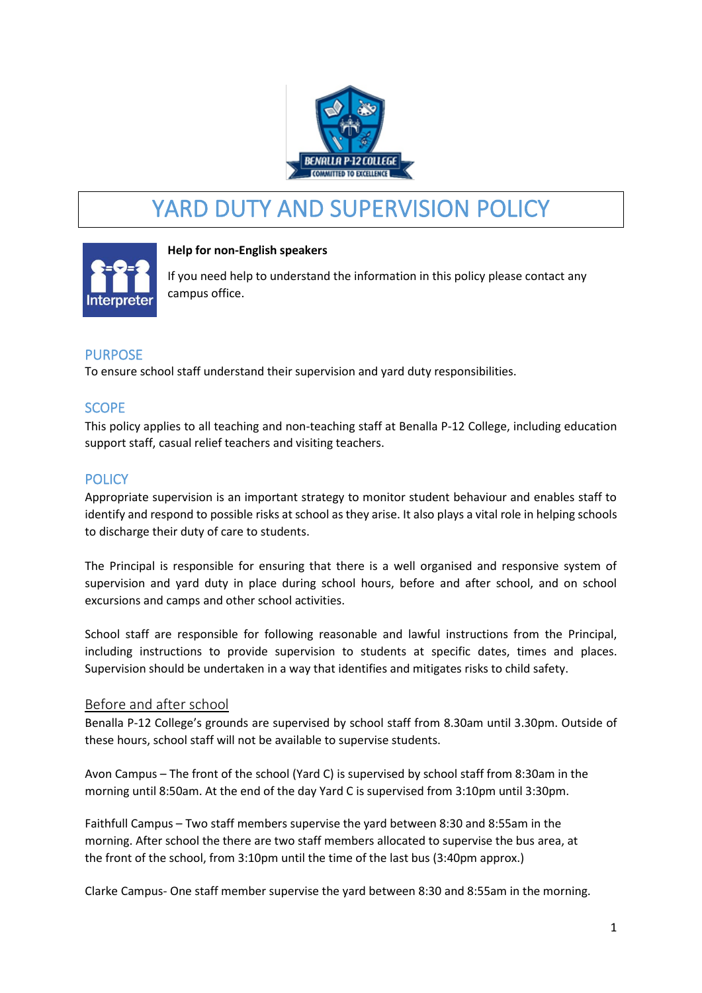

# YARD DUTY AND SUPERVISION POLICY



#### **Help for non-English speakers**

If you need help to understand the information in this policy please contact any campus office.

# PURPOSE

To ensure school staff understand their supervision and yard duty responsibilities.

# **SCOPE**

This policy applies to all teaching and non-teaching staff at Benalla P-12 College, including education support staff, casual relief teachers and visiting teachers.

# **POLICY**

Appropriate supervision is an important strategy to monitor student behaviour and enables staff to identify and respond to possible risks at school as they arise. It also plays a vital role in helping schools to discharge their duty of care to students.

The Principal is responsible for ensuring that there is a well organised and responsive system of supervision and yard duty in place during school hours, before and after school, and on school excursions and camps and other school activities.

School staff are responsible for following reasonable and lawful instructions from the Principal, including instructions to provide supervision to students at specific dates, times and places. Supervision should be undertaken in a way that identifies and mitigates risks to child safety.

#### Before and after school

Benalla P-12 College's grounds are supervised by school staff from 8.30am until 3.30pm. Outside of these hours, school staff will not be available to supervise students.

Avon Campus – The front of the school (Yard C) is supervised by school staff from 8:30am in the morning until 8:50am. At the end of the day Yard C is supervised from 3:10pm until 3:30pm.

Faithfull Campus – Two staff members supervise the yard between 8:30 and 8:55am in the morning. After school the there are two staff members allocated to supervise the bus area, at the front of the school, from 3:10pm until the time of the last bus (3:40pm approx.)

Clarke Campus- One staff member supervise the yard between 8:30 and 8:55am in the morning.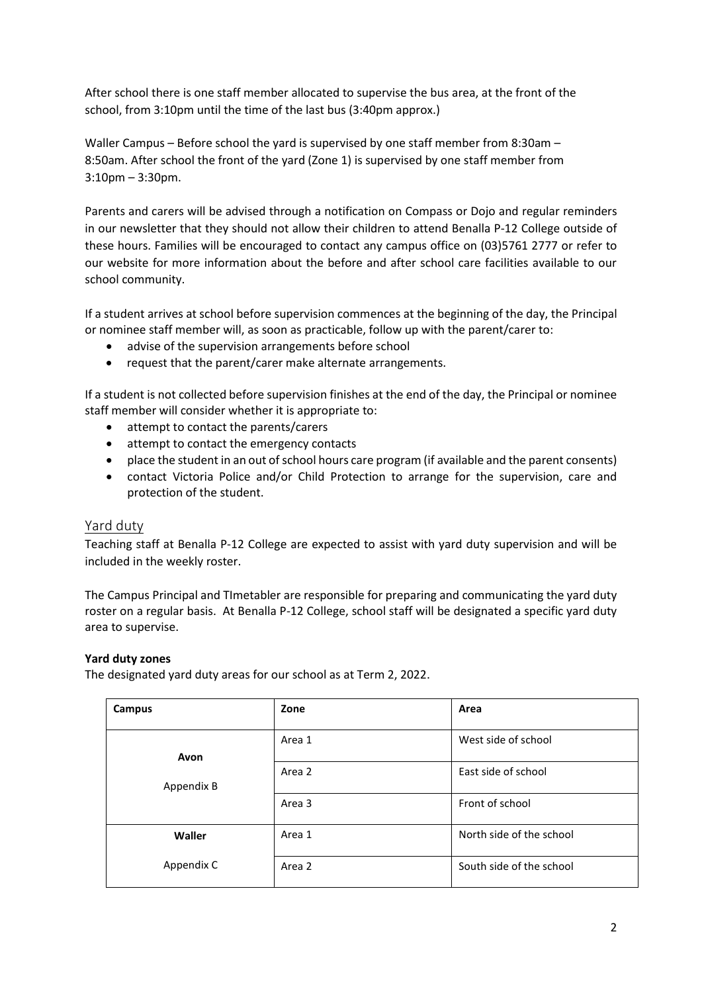After school there is one staff member allocated to supervise the bus area, at the front of the school, from 3:10pm until the time of the last bus (3:40pm approx.)

Waller Campus – Before school the yard is supervised by one staff member from 8:30am – 8:50am. After school the front of the yard (Zone 1) is supervised by one staff member from 3:10pm – 3:30pm.

Parents and carers will be advised through a notification on Compass or Dojo and regular reminders in our newsletter that they should not allow their children to attend Benalla P-12 College outside of these hours. Families will be encouraged to contact any campus office on (03)5761 2777 or refer to our website for more information about the before and after school care facilities available to our school community.

If a student arrives at school before supervision commences at the beginning of the day, the Principal or nominee staff member will, as soon as practicable, follow up with the parent/carer to:

- advise of the supervision arrangements before school
- request that the parent/carer make alternate arrangements.

If a student is not collected before supervision finishes at the end of the day, the Principal or nominee staff member will consider whether it is appropriate to:

- attempt to contact the parents/carers
- attempt to contact the emergency contacts
- place the student in an out of school hours care program (if available and the parent consents)
- contact Victoria Police and/or Child Protection to arrange for the supervision, care and protection of the student.

#### Yard duty

Teaching staff at Benalla P-12 College are expected to assist with yard duty supervision and will be included in the weekly roster.

The Campus Principal and TImetabler are responsible for preparing and communicating the yard duty roster on a regular basis. At Benalla P-12 College, school staff will be designated a specific yard duty area to supervise.

#### **Yard duty zones**

The designated yard duty areas for our school as at Term 2, 2022.

| Campus             | Zone   | Area                     |
|--------------------|--------|--------------------------|
| Avon<br>Appendix B | Area 1 | West side of school      |
|                    | Area 2 | East side of school      |
|                    | Area 3 | Front of school          |
| Waller             | Area 1 | North side of the school |
| Appendix C         | Area 2 | South side of the school |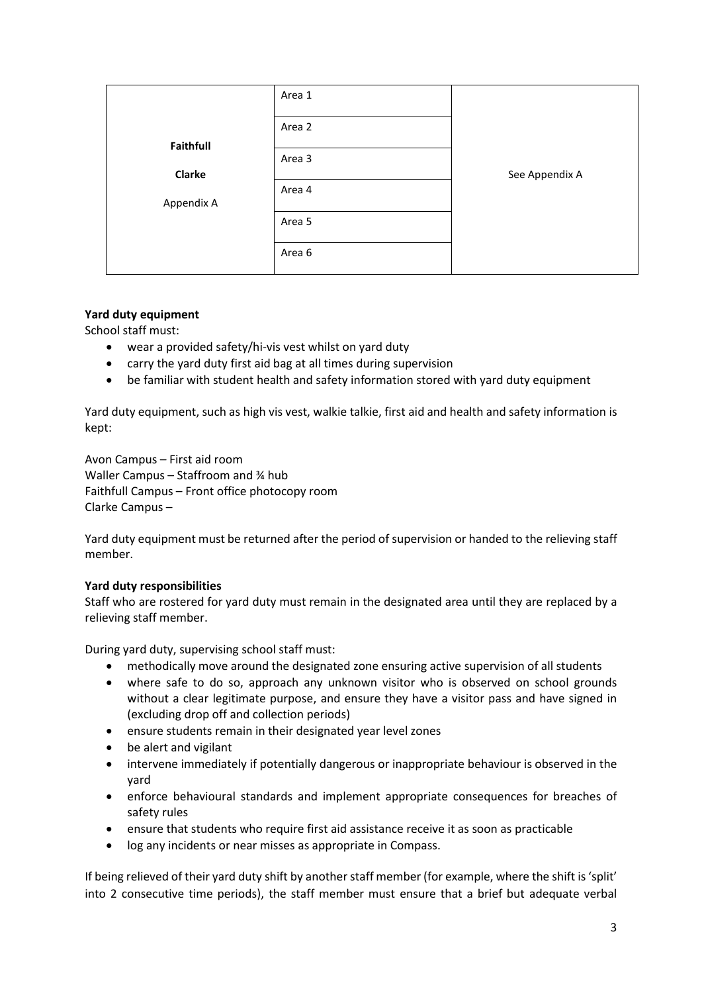|            | Area 1 |                |
|------------|--------|----------------|
|            | Area 2 |                |
| Faithfull  |        |                |
|            | Area 3 |                |
| Clarke     |        | See Appendix A |
|            | Area 4 |                |
| Appendix A |        |                |
|            | Area 5 |                |
|            | Area 6 |                |
|            |        |                |

#### **Yard duty equipment**

School staff must:

- wear a provided safety/hi-vis vest whilst on yard duty
- carry the yard duty first aid bag at all times during supervision
- be familiar with student health and safety information stored with yard duty equipment

Yard duty equipment, such as high vis vest, walkie talkie, first aid and health and safety information is kept:

Avon Campus – First aid room Waller Campus – Staffroom and ¾ hub Faithfull Campus – Front office photocopy room Clarke Campus –

Yard duty equipment must be returned after the period of supervision or handed to the relieving staff member.

#### **Yard duty responsibilities**

Staff who are rostered for yard duty must remain in the designated area until they are replaced by a relieving staff member.

During yard duty, supervising school staff must:

- methodically move around the designated zone ensuring active supervision of all students
- where safe to do so, approach any unknown visitor who is observed on school grounds without a clear legitimate purpose, and ensure they have a visitor pass and have signed in (excluding drop off and collection periods)
- ensure students remain in their designated year level zones
- be alert and vigilant
- intervene immediately if potentially dangerous or inappropriate behaviour is observed in the yard
- enforce behavioural standards and implement appropriate consequences for breaches of safety rules
- ensure that students who require first aid assistance receive it as soon as practicable
- log any incidents or near misses as appropriate in Compass.

If being relieved of their yard duty shift by another staff member (for example, where the shift is 'split' into 2 consecutive time periods), the staff member must ensure that a brief but adequate verbal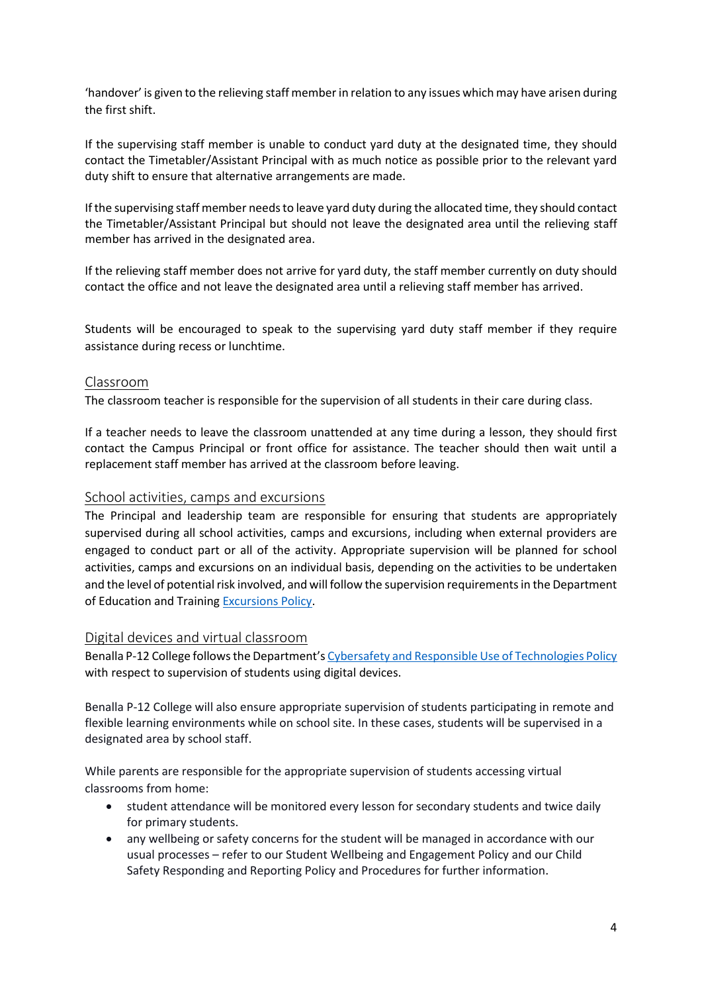'handover' is given to the relieving staff member in relation to any issues which may have arisen during the first shift.

If the supervising staff member is unable to conduct yard duty at the designated time, they should contact the Timetabler/Assistant Principal with as much notice as possible prior to the relevant yard duty shift to ensure that alternative arrangements are made.

If the supervising staff member needs to leave yard duty during the allocated time, they should contact the Timetabler/Assistant Principal but should not leave the designated area until the relieving staff member has arrived in the designated area.

If the relieving staff member does not arrive for yard duty, the staff member currently on duty should contact the office and not leave the designated area until a relieving staff member has arrived.

Students will be encouraged to speak to the supervising yard duty staff member if they require assistance during recess or lunchtime.

#### Classroom

The classroom teacher is responsible for the supervision of all students in their care during class.

If a teacher needs to leave the classroom unattended at any time during a lesson, they should first contact the Campus Principal or front office for assistance. The teacher should then wait until a replacement staff member has arrived at the classroom before leaving.

#### School activities, camps and excursions

The Principal and leadership team are responsible for ensuring that students are appropriately supervised during all school activities, camps and excursions, including when external providers are engaged to conduct part or all of the activity. Appropriate supervision will be planned for school activities, camps and excursions on an individual basis, depending on the activities to be undertaken and the level of potential risk involved, and will follow the supervision requirements in the Department of Education and Training [Excursions Policy.](https://www2.education.vic.gov.au/pal/excursions/policy)

#### Digital devices and virtual classroom

Benalla P-12 College follows the Department's [Cybersafety and Responsible Use of Technologies Policy](https://www2.education.vic.gov.au/pal/cybersafety/policy) with respect to supervision of students using digital devices.

Benalla P-12 College will also ensure appropriate supervision of students participating in remote and flexible learning environments while on school site. In these cases, students will be supervised in a designated area by school staff.

While parents are responsible for the appropriate supervision of students accessing virtual classrooms from home:

- student attendance will be monitored every lesson for secondary students and twice daily for primary students.
- any wellbeing or safety concerns for the student will be managed in accordance with our usual processes – refer to our Student Wellbeing and Engagement Policy and our Child Safety Responding and Reporting Policy and Procedures for further information.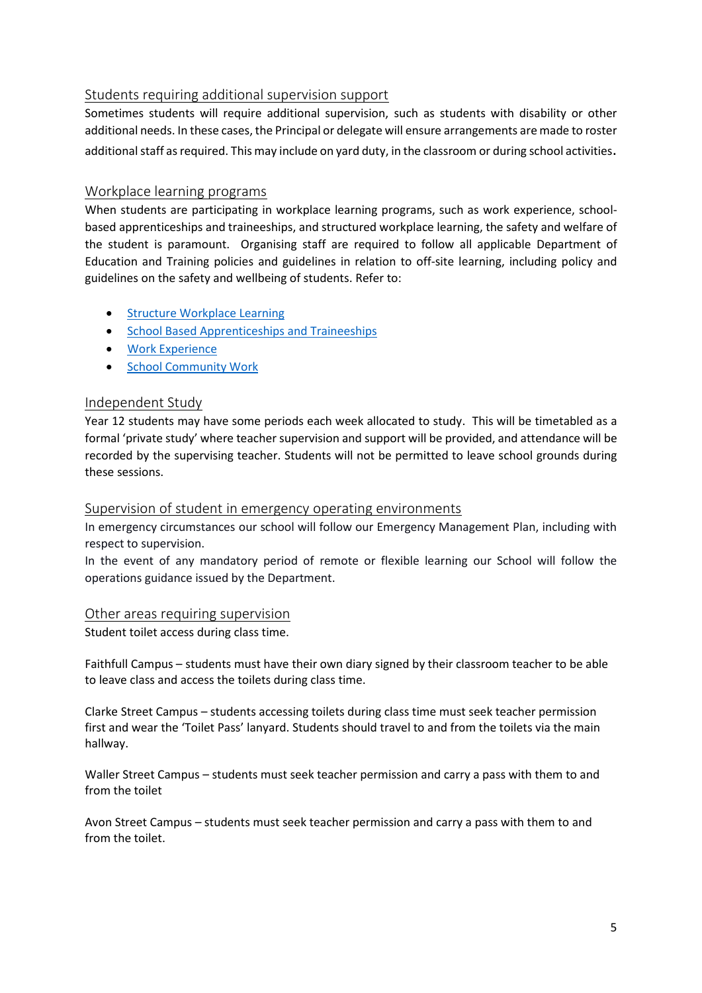# Students requiring additional supervision support

Sometimes students will require additional supervision, such as students with disability or other additional needs. In these cases, the Principal or delegate will ensure arrangements are made to roster additional staff as required. This may include on yard duty, in the classroom or during school activities.

### Workplace learning programs

When students are participating in workplace learning programs, such as work experience, schoolbased apprenticeships and traineeships, and structured workplace learning, the safety and welfare of the student is paramount. Organising staff are required to follow all applicable Department of Education and Training policies and guidelines in relation to off-site learning, including policy and guidelines on the safety and wellbeing of students. Refer to:

- [Structure Workplace Learning](https://www2.education.vic.gov.au/pal/structured-workplace-learning/policy)
- [School Based Apprenticeships and Traineeships](https://www2.education.vic.gov.au/pal/school-based-apprenticeships-and-traineeships/policy)
- [Work Experience](https://www2.education.vic.gov.au/pal/work-experience/policy)
- [School Community Work](https://www2.education.vic.gov.au/pal/school-community-work/policy)

#### Independent Study

Year 12 students may have some periods each week allocated to study. This will be timetabled as a formal 'private study' where teacher supervision and support will be provided, and attendance will be recorded by the supervising teacher. Students will not be permitted to leave school grounds during these sessions.

#### Supervision of student in emergency operating environments

In emergency circumstances our school will follow our Emergency Management Plan, including with respect to supervision.

In the event of any mandatory period of remote or flexible learning our School will follow the operations guidance issued by the Department.

#### Other areas requiring supervision

Student toilet access during class time.

Faithfull Campus – students must have their own diary signed by their classroom teacher to be able to leave class and access the toilets during class time.

Clarke Street Campus – students accessing toilets during class time must seek teacher permission first and wear the 'Toilet Pass' lanyard. Students should travel to and from the toilets via the main hallway.

Waller Street Campus – students must seek teacher permission and carry a pass with them to and from the toilet

Avon Street Campus – students must seek teacher permission and carry a pass with them to and from the toilet.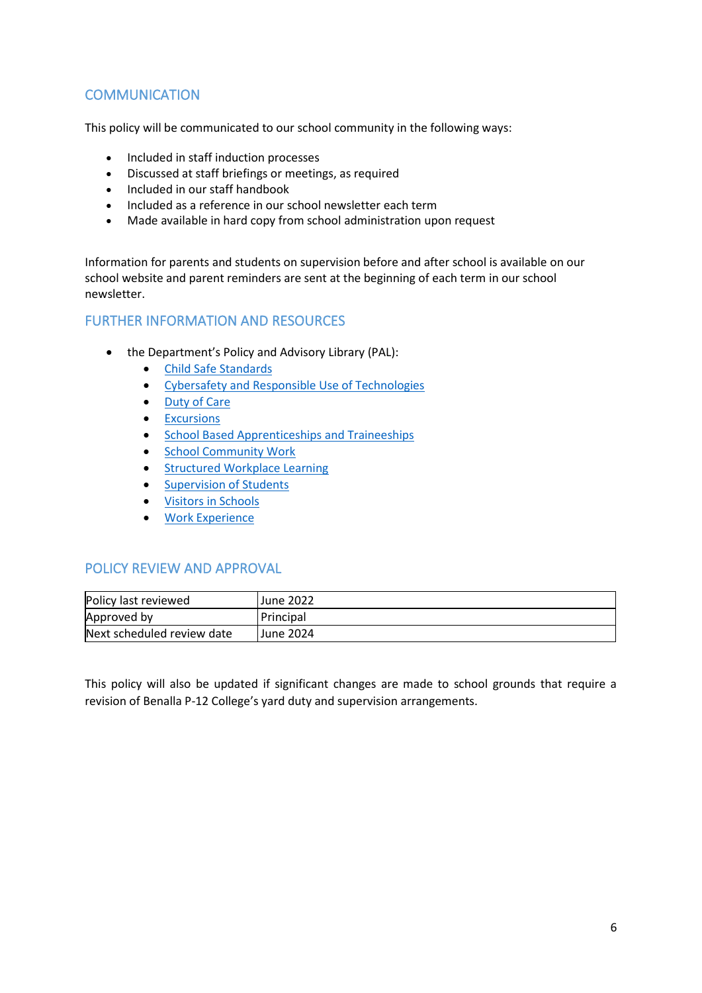# **COMMUNICATION**

This policy will be communicated to our school community in the following ways:

- Included in staff induction processes
- Discussed at staff briefings or meetings, as required
- Included in our staff handbook
- Included as a reference in our school newsletter each term
- Made available in hard copy from school administration upon request

Information for parents and students on supervision before and after school is available on our school website and parent reminders are sent at the beginning of each term in our school newsletter.

# FURTHER INFORMATION AND RESOURCES

- the Department's Policy and Advisory Library (PAL):
	- [Child Safe Standards](https://www2.education.vic.gov.au/pal/child-safe-standards/policy)
	- [Cybersafety and Responsible Use of Technologies](https://www2.education.vic.gov.au/pal/cybersafety/policy)
	- [Duty of Care](https://www2.education.vic.gov.au/pal/duty-of-care/policy)
	- [Excursions](https://www2.education.vic.gov.au/pal/excursions/policy)
	- [School Based Apprenticeships and Traineeships](https://www2.education.vic.gov.au/pal/school-based-apprenticeships-and-traineeships/policy)
	- [School Community Work](https://www2.education.vic.gov.au/pal/school-community-work/policy)
	- [Structured Workplace Learning](https://www2.education.vic.gov.au/pal/structured-workplace-learning/policy)
	- [Supervision of Students](https://www2.education.vic.gov.au/pal/supervision-students/policy)
	- [Visitors in Schools](https://www2.education.vic.gov.au/pal/visitors/policy)
	- [Work Experience](https://www2.education.vic.gov.au/pal/work-experience/policy)

# POLICY REVIEW AND APPROVAL

| Policy last reviewed       | June 2022 |
|----------------------------|-----------|
| Approved by                | Principal |
| Next scheduled review date | June 2024 |

This policy will also be updated if significant changes are made to school grounds that require a revision of Benalla P-12 College's yard duty and supervision arrangements.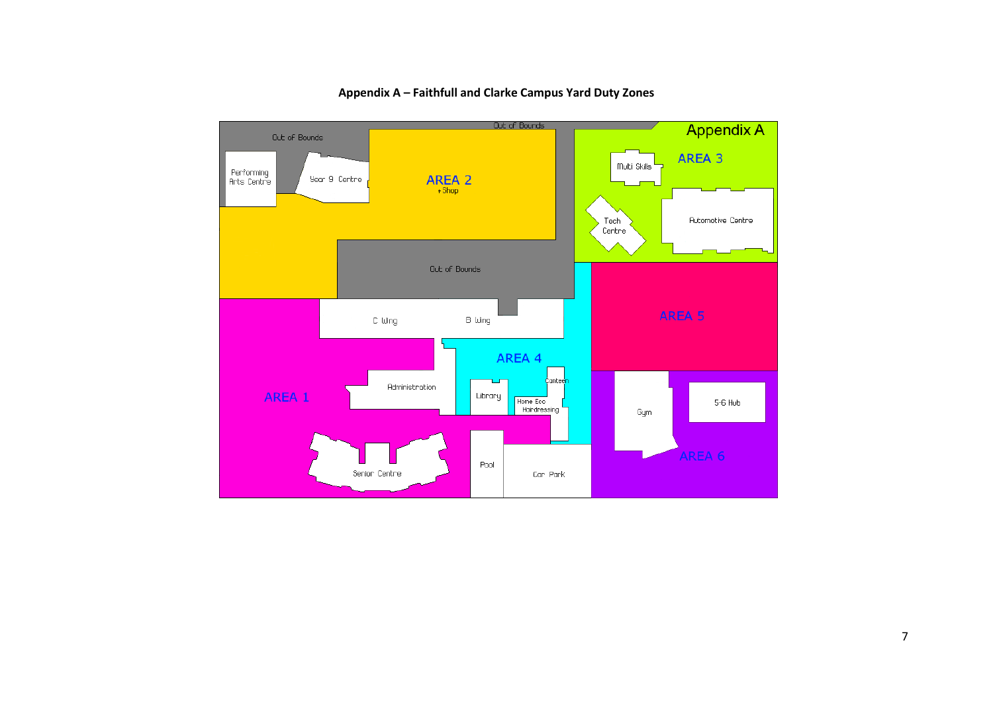

**Appendix A – Faithfull and Clarke Campus Yard Duty Zones**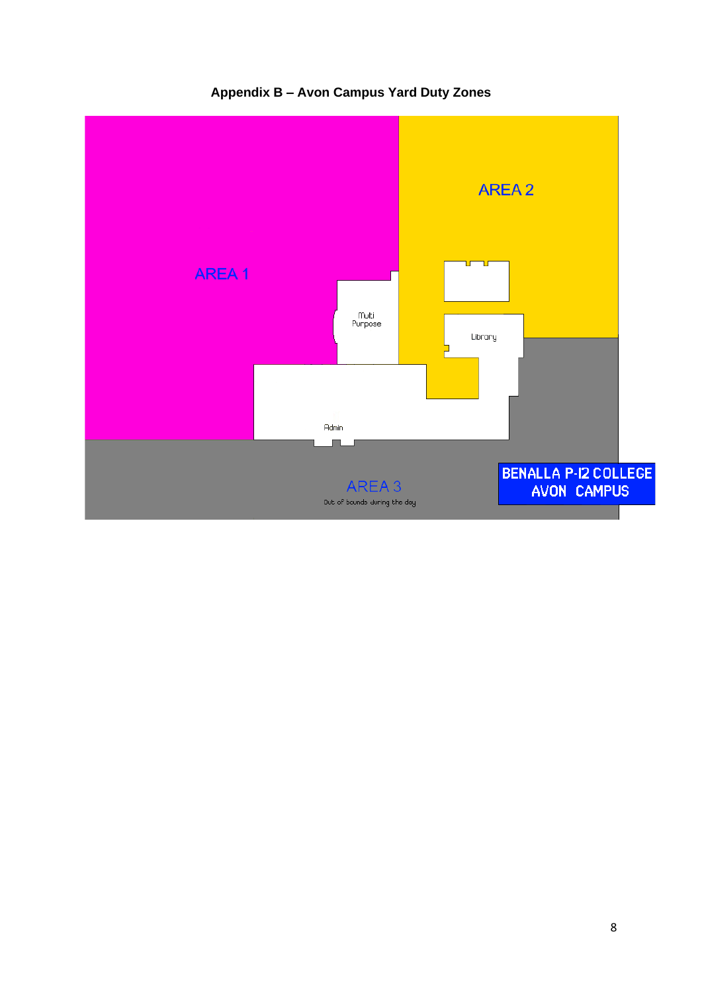

**Appendix B – Avon Campus Yard Duty Zones**